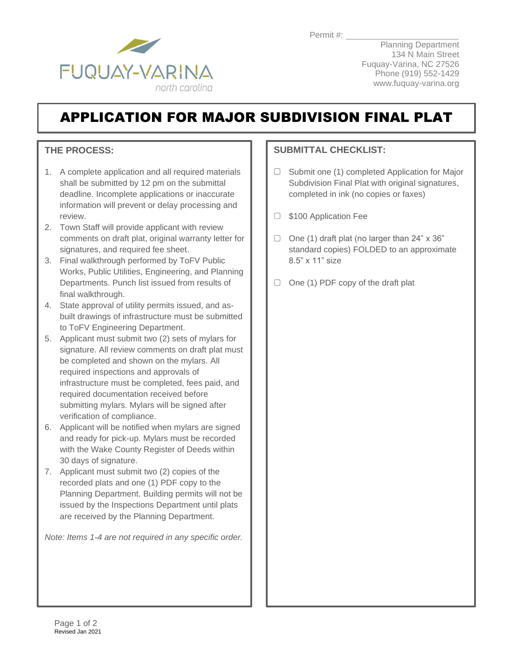

Planning Department 134 N Main Street Fuquay-Varina, NC 27526 Phone (919) 552-1429 www.fuquay-varina.org

## APPLICATION FOR MAJOR SUBDIVISION FINAL PLAT

## **THE PROCESS:**

- 1. A complete application and all required materials shall be submitted by 12 pm on the submittal deadline. Incomplete applications or inaccurate information will prevent or delay processing and review.
- 2. Town Staff will provide applicant with review comments on draft plat, original warranty letter for signatures, and required fee sheet.
- 3. Final walkthrough performed by ToFV Public Works, Public Utilities, Engineering, and Planning Departments. Punch list issued from results of final walkthrough.
- 4. State approval of utility permits issued, and asbuilt drawings of infrastructure must be submitted to ToFV Engineering Department.
- 5. Applicant must submit two (2) sets of mylars for signature. All review comments on draft plat must be completed and shown on the mylars. All required inspections and approvals of infrastructure must be completed, fees paid, and required documentation received before submitting mylars. Mylars will be signed after verification of compliance.
- 6. Applicant will be notified when mylars are signed and ready for pick-up. Mylars must be recorded with the Wake County Register of Deeds within 30 days of signature.
- 7. Applicant must submit two (2) copies of the recorded plats and one (1) PDF copy to the Planning Department. Building permits will not be issued by the Inspections Department until plats are received by the Planning Department.

*Note: Items 1-4 are not required in any specific order.*

## **SUBMITTAL CHECKLIST:**

- $\Box$ Submit one (1) completed Application for Major Subdivision Final Plat with original signatures, completed in ink (no copies or faxes)
- □ \$100 Application Fee
- $\Box$  One (1) draft plat (no larger than 24" x 36" standard copies) FOLDED to an approximate 8.5" x 11" size
- $\Box$  One (1) PDF copy of the draft plat